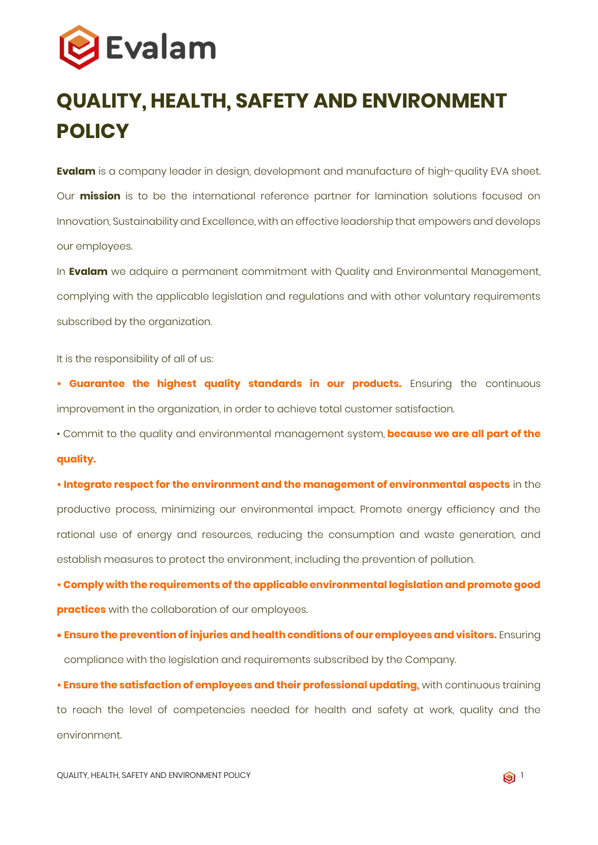

## **QUALITY, HEALTH, SAFETY AND ENVIRONMENT POLICY**

**Evalam** is a company leader in design, development and manufacture of high-quality EVA sheet. Our **mission** is to be the international reference partner for lamination solutions focused on Innovation, Sustainability and Excellence, with an effective leadership that empowers and develops our employees.

In **Evalam** we adquire a permanent commitment with Quality and Environmental Management, complying with the applicable legislation and regulations and with other voluntary requirements subscribed by the organization.

It is the responsibility of all of us:

**• Guarantee the highest quality standards in our products.** Ensuring the continuous improvement in the organization, in order to achieve total customer satisfaction.

• Commit to the quality and environmental management system, **because we are all part of the quality.**

**• Integrate respect for the environment and the management of environmental aspects** in the productive process, minimizing our environmental impact. Promote energy efficiency and the rational use of energy and resources, reducing the consumption and waste generation, and establish measures to protect the environment, including the prevention of pollution.

**• Comply with the requirements of the applicable environmental legislation and promote good practices** with the collaboration of our employees.

• **Ensure the prevention of injuries and health conditions of our employees and visitors.** Ensuring compliance with the legislation and requirements subscribed by the Company.

**• Ensure the satisfaction of employees and their professional updating,** with continuous training to reach the level of competencies needed for health and safety at work, quality and the environment.